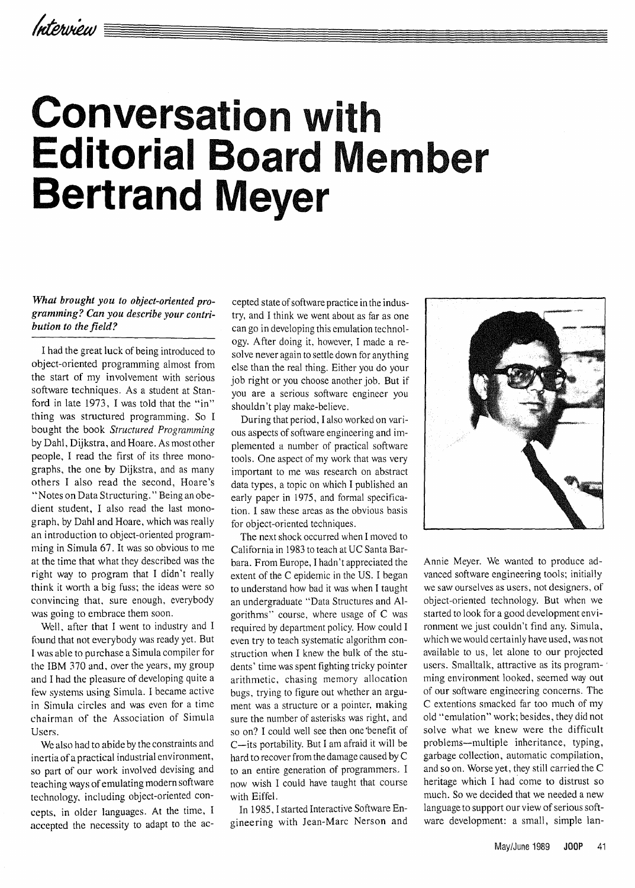# **Conversation with Editorial Board Member Bertrand Meyer**

### *What brought you to object-oriented programming? Can you describe your contribution to the field?*

I had the great luck of being introduced to object-oriented programming almost from the start of my involvement with serious software techniques. As a student at Stanford in late 1973, I was told that the "in" thing was structured programming. So I bought the book *Structured Programming*  by Dahl, Dijkstra, and Hoare. As most other people, I read the first of its three monographs, the one by Dijkstra, and as many others I also read the second, Hoare's "Notes on Data Structuring." Being an obedient student, I also read the last monograph, by Dahl and Hoare, which was really an introduction to object-oriented programming in Simula 67. It was so obvious to me at the time that what they described was the right way to program that I didn't really think it worth a big fuss; the ideas were so convincing that, sure enough, everybody was going to embrace them soon.

Well, after that I went to industry and I found that not everybody was ready yet. But I was able to purchase a Simula compiler for the IBM 370 and, over the years, my group and I had the pleasure of developing quite a few systems using Simula. I became active in Simula circles and was even for a time chairman of the Association of Simula Users.

We also had to abide by the constraints and inertia of a practical industrial environment, so part of our work involved devising and teaching ways of emulating modern software technology, including object-oriented concepts, in older languages. At the time, I accepted the necessity to adapt to the accepted state of software practice in the industry, and I think we went about as far as one can go in developing this emulation technology. After doing it, however, I made a resolve never again to settle down for anything else than the real thing. Either you do your job right or you choose another job. But if you are a serious software engineer you shouldn't play make-believe.

During that period, I also worked on various aspects of software engineering and implemented a number of practical software tools. One aspect of my work that was very important to me was research on abstract data types, a topic on which I published an early paper in 1975, and formal specification. I saw these areas as the obvious basis for object-oriented techniques.

The next shock occurred when I moved to California in 1983 to teach at UC Santa Barbara. From Europe, I hadn't appreciated the extent of the C epidemic in the US. I began to understand how bad it was when I taught an undergraduate "Data Structures and Algorithms" course, where usage of C was required by department policy. How could I even try to teach systematic algorithm construction when I knew the bulk of the students' time was spent fighting tricky pointer arithmetic, chasing memory allocation bugs, trying to figure out whether an argument was a structure or a pointer, making sure the number of asterisks was right, and so on? I could well see then one 'benefit of C-its portability. But I am afraid it will be hard to recover from the damage caused by C to an entire generation of programmers. I now wish I could have taught that course with Eiffel.

In 1985, I started Interactive Software Engineering with lean-Marc Nerson and



Annie Meyer. We wanted to produce advanced software engineering tools; initially we saw ourselves as users, not designers, of object-oriented technology. But when we started to look for a good development environment we just couldn't find any. Simula, which we would certainly have used, was not available to us, let alone to our projected users. Smalltalk, attractive as its program- ' ming environment looked, seemed way out of our software engineering concerns. The C extentions smacked far too much of my old "emulation" work; besides, they did not solve what we knew were the difficult problems-multiple inheritance, typing, garbage collection, automatic compilation, and so on. Worse yet, they still carried the C heritage which I had come to distrust so much. So we decided that we needed a new language to support our view of serious software development: a small, simple lan-